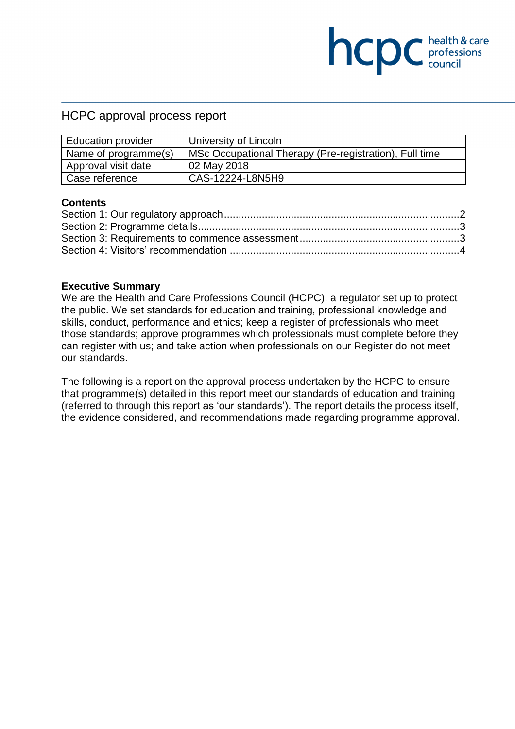## HCPC approval process report

| <b>Education provider</b> | University of Lincoln                                  |
|---------------------------|--------------------------------------------------------|
| Name of programme(s)      | MSc Occupational Therapy (Pre-registration), Full time |
| Approval visit date       | 02 May 2018                                            |
| Case reference            | CAS-12224-L8N5H9                                       |

**COC** health & care

#### **Contents**

#### **Executive Summary**

We are the Health and Care Professions Council (HCPC), a regulator set up to protect the public. We set standards for education and training, professional knowledge and skills, conduct, performance and ethics; keep a register of professionals who meet those standards; approve programmes which professionals must complete before they can register with us; and take action when professionals on our Register do not meet our standards.

The following is a report on the approval process undertaken by the HCPC to ensure that programme(s) detailed in this report meet our standards of education and training (referred to through this report as 'our standards'). The report details the process itself, the evidence considered, and recommendations made regarding programme approval.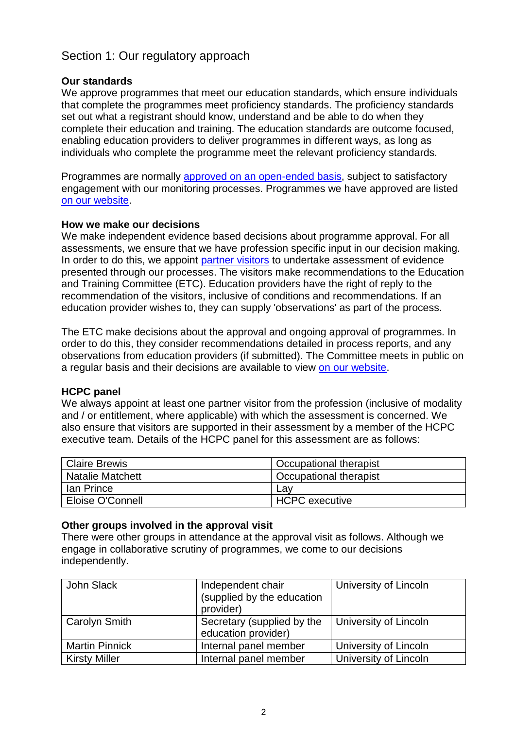# Section 1: Our regulatory approach

#### **Our standards**

We approve programmes that meet our education standards, which ensure individuals that complete the programmes meet proficiency standards. The proficiency standards set out what a registrant should know, understand and be able to do when they complete their education and training. The education standards are outcome focused, enabling education providers to deliver programmes in different ways, as long as individuals who complete the programme meet the relevant proficiency standards.

Programmes are normally approved on an open-ended basis, subject to satisfactory engagement with our monitoring processes. Programmes we have approved are listed on our website.

#### **How we make our decisions**

We make independent evidence based decisions about programme approval. For all assessments, we ensure that we have profession specific input in our decision making. In order to do this, we appoint partner visitors to undertake assessment of evidence presented through our processes. The visitors make recommendations to the Education and Training Committee (ETC). Education providers have the right of reply to the recommendation of the visitors, inclusive of conditions and recommendations. If an education provider wishes to, they can supply 'observations' as part of the process.

The ETC make decisions about the approval and ongoing approval of programmes. In order to do this, they consider recommendations detailed in process reports, and any observations from education providers (if submitted). The Committee meets in public on a regular basis and their decisions are available to view on our website.

#### **HCPC panel**

We always appoint at least one partner visitor from the profession (inclusive of modality and / or entitlement, where applicable) with which the assessment is concerned. We also ensure that visitors are supported in their assessment by a member of the HCPC executive team. Details of the HCPC panel for this assessment are as follows:

| Claire Brewis           | Occupational therapist |
|-------------------------|------------------------|
| <b>Natalie Matchett</b> | Occupational therapist |
| lan Prince              | Lav                    |
| Eloise O'Connell        | <b>HCPC</b> executive  |

### **Other groups involved in the approval visit**

There were other groups in attendance at the approval visit as follows. Although we engage in collaborative scrutiny of programmes, we come to our decisions independently.

| John Slack            | Independent chair<br>(supplied by the education<br>provider) | University of Lincoln |
|-----------------------|--------------------------------------------------------------|-----------------------|
| Carolyn Smith         | Secretary (supplied by the<br>education provider)            | University of Lincoln |
| <b>Martin Pinnick</b> | Internal panel member                                        | University of Lincoln |
| <b>Kirsty Miller</b>  | Internal panel member                                        | University of Lincoln |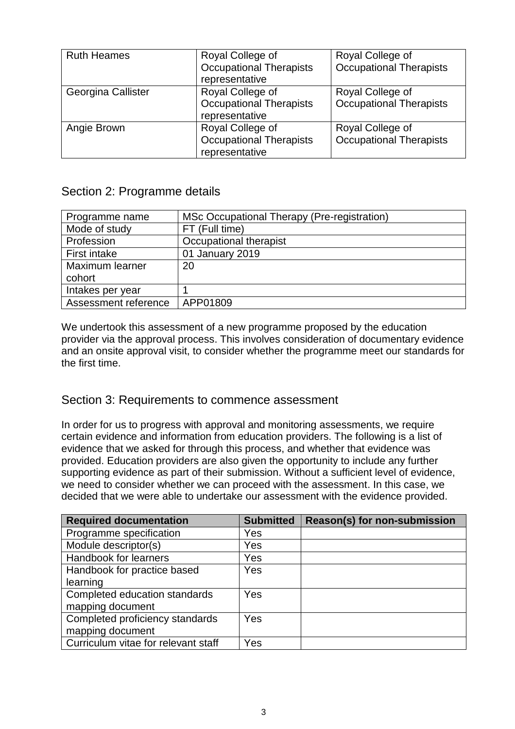| <b>Ruth Heames</b> | Royal College of<br><b>Occupational Therapists</b> | Royal College of<br><b>Occupational Therapists</b> |  |
|--------------------|----------------------------------------------------|----------------------------------------------------|--|
|                    | representative                                     |                                                    |  |
| Georgina Callister | Royal College of                                   | Royal College of                                   |  |
|                    | <b>Occupational Therapists</b>                     | <b>Occupational Therapists</b>                     |  |
|                    | representative                                     |                                                    |  |
| Angie Brown        | Royal College of                                   | Royal College of                                   |  |
|                    | <b>Occupational Therapists</b>                     | <b>Occupational Therapists</b>                     |  |
|                    | representative                                     |                                                    |  |

## Section 2: Programme details

| Programme name       | MSc Occupational Therapy (Pre-registration) |
|----------------------|---------------------------------------------|
| Mode of study        | FT (Full time)                              |
| Profession           | Occupational therapist                      |
| First intake         | 01 January 2019                             |
| Maximum learner      | 20                                          |
| cohort               |                                             |
| Intakes per year     |                                             |
| Assessment reference | APP01809                                    |

We undertook this assessment of a new programme proposed by the education provider via the approval process. This involves consideration of documentary evidence and an onsite approval visit, to consider whether the programme meet our standards for the first time.

### Section 3: Requirements to commence assessment

In order for us to progress with approval and monitoring assessments, we require certain evidence and information from education providers. The following is a list of evidence that we asked for through this process, and whether that evidence was provided. Education providers are also given the opportunity to include any further supporting evidence as part of their submission. Without a sufficient level of evidence, we need to consider whether we can proceed with the assessment. In this case, we decided that we were able to undertake our assessment with the evidence provided.

| <b>Required documentation</b>       | <b>Submitted</b> | Reason(s) for non-submission |
|-------------------------------------|------------------|------------------------------|
| Programme specification             | Yes              |                              |
| Module descriptor(s)                | Yes              |                              |
| Handbook for learners               | Yes              |                              |
| Handbook for practice based         | Yes              |                              |
| learning                            |                  |                              |
| Completed education standards       | <b>Yes</b>       |                              |
| mapping document                    |                  |                              |
| Completed proficiency standards     | <b>Yes</b>       |                              |
| mapping document                    |                  |                              |
| Curriculum vitae for relevant staff | Yes              |                              |